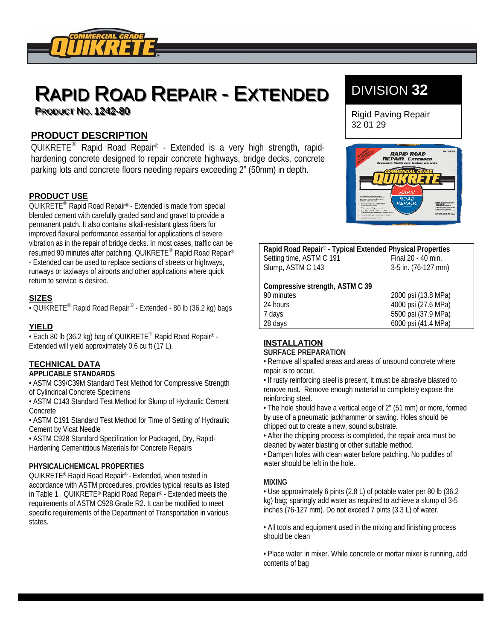

# RAPID ROAD REPAIR - EXTENDED **PRODUCT NO. 1242-80**

# **PRODUCT DESCRIPTION**

QUIKRETE<sup>®</sup> Rapid Road Repair<sup>®</sup> - Extended is a very high strength, rapidhardening concrete designed to repair concrete highways, bridge decks, concrete parking lots and concrete floors needing repairs exceeding 2" (50mm) in depth.

## **PRODUCT USE**

 $QUIKREF<sup>®</sup>$  Rapid Road Repair<sup>®</sup> - Extended is made from special blended cement with carefully graded sand and gravel to provide a permanent patch. It also contains alkali-resistant glass fibers for improved flexural performance essential for applications of severe vibration as in the repair of bridge decks. In most cases, traffic can be resumed 90 minutes after patching. QUIKRETE® Rapid Road Repair® - Extended can be used to replace sections of streets or highways, runways or taxiways of airports and other applications where quick return to service is desired.

## **SIZES**

 $\cdot$  QUIKRETE<sup>®</sup> Rapid Road Repair<sup>®</sup> - Extended - 80 lb (36.2 kg) bags

## **YIELD**

 $\cdot$  Each 80 lb (36.2 kg) bag of QUIKRETE<sup>®</sup> Rapid Road Repair<sup>®</sup> -Extended will yield approximately 0.6 cu ft (17 L).

# **TECHNICAL DATA**

### **APPLICABLE STANDARDS**

• ASTM C39/C39M Standard Test Method for Compressive Strength of Cylindrical Concrete Specimens

• ASTM C143 Standard Test Method for Slump of Hydraulic Cement Concrete

• ASTM C191 Standard Test Method for Time of Setting of Hydraulic Cement by Vicat Needle

• ASTM C928 Standard Specification for Packaged, Dry, Rapid-Hardening Cementitious Materials for Concrete Repairs

### **PHYSICAL/CHEMICAL PROPERTIES**

QUIKRETE® Rapid Road Repair® - Extended, when tested in accordance with ASTM procedures, provides typical results as listed in Table 1. QUIKRETE® Rapid Road Repair® - Extended meets the requirements of ASTM C928 Grade R2. It can be modified to meet specific requirements of the Department of Transportation in various states.

# DIVISION **32**

Rigid Paving Repair 32 01 29



| Rapid Road Repair® - Typical Extended Physical Properties |  |  |
|-----------------------------------------------------------|--|--|
| Final 20 - 40 min.                                        |  |  |
| 3-5 in. (76-127 mm)                                       |  |  |
|                                                           |  |  |
|                                                           |  |  |
| 2000 psi (13.8 MPa)                                       |  |  |
| 4000 psi (27.6 MPa)                                       |  |  |
| 5500 psi (37.9 MPa)                                       |  |  |
| 6000 psi (41.4 MPa)                                       |  |  |
|                                                           |  |  |

# **INSTALLATION**

### **SURFACE PREPARATION**

• Remove all spalled areas and areas of unsound concrete where repair is to occur.

• If rusty reinforcing steel is present, it must be abrasive blasted to remove rust. Remove enough material to completely expose the reinforcing steel.

• The hole should have a vertical edge of 2" (51 mm) or more, formed by use of a pneumatic jackhammer or sawing. Holes should be chipped out to create a new, sound substrate.

• After the chipping process is completed, the repair area must be cleaned by water blasting or other suitable method.

• Dampen holes with clean water before patching. No puddles of water should be left in the hole.

### **MIXING**

• Use approximately 6 pints (2.8 L) of potable water per 80 lb (36.2 kg) bag; sparingly add water as required to achieve a slump of 3-5 inches (76-127 mm). Do not exceed 7 pints (3.3 L) of water.

• All tools and equipment used in the mixing and finishing process should be clean

• Place water in mixer. While concrete or mortar mixer is running, add contents of bag